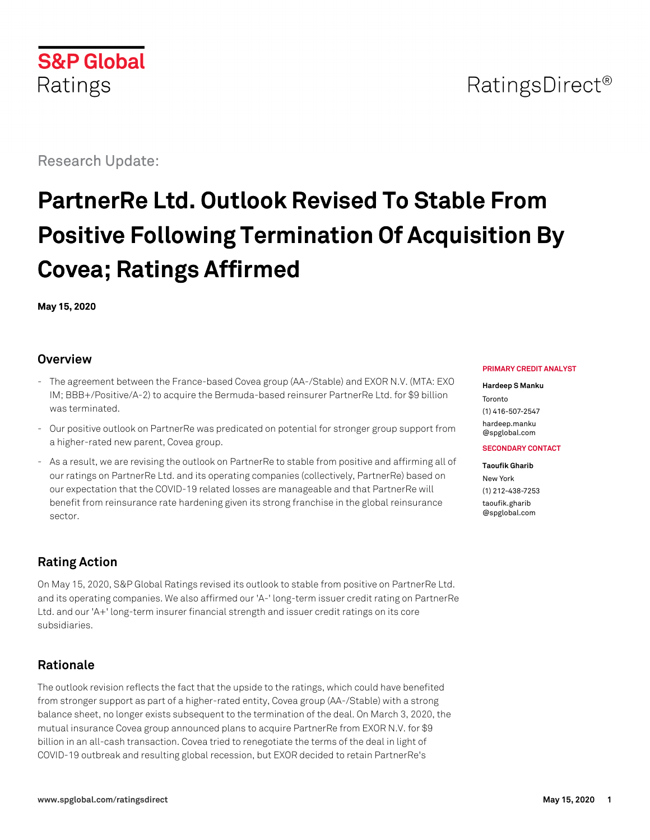# **S&P Global** Ratings

Research Update:

# **PartnerRe Ltd. Outlook Revised To Stable From Positive Following Termination Of Acquisition By Covea; Ratings Affirmed**

**May 15, 2020**

## **Overview**

- The agreement between the France-based Covea group (AA-/Stable) and EXOR N.V. (MTA: EXO IM; BBB+/Positive/A-2) to acquire the Bermuda-based reinsurer PartnerRe Ltd. for \$9 billion was terminated.
- Our positive outlook on PartnerRe was predicated on potential for stronger group support from a higher-rated new parent, Covea group.
- As a result, we are revising the outlook on PartnerRe to stable from positive and affirming all of our ratings on PartnerRe Ltd. and its operating companies (collectively, PartnerRe) based on our expectation that the COVID-19 related losses are manageable and that PartnerRe will benefit from reinsurance rate hardening given its strong franchise in the global reinsurance sector.

# **Rating Action**

On May 15, 2020, S&P Global Ratings revised its outlook to stable from positive on PartnerRe Ltd. and its operating companies. We also affirmed our 'A-' long-term issuer credit rating on PartnerRe Ltd. and our 'A+' long-term insurer financial strength and issuer credit ratings on its core subsidiaries.

# **Rationale**

The outlook revision reflects the fact that the upside to the ratings, which could have benefited from stronger support as part of a higher-rated entity, Covea group (AA-/Stable) with a strong balance sheet, no longer exists subsequent to the termination of the deal. On March 3, 2020, the mutual insurance Covea group announced plans to acquire PartnerRe from EXOR N.V. for \$9 billion in an all-cash transaction. Covea tried to renegotiate the terms of the deal in light of COVID-19 outbreak and resulting global recession, but EXOR decided to retain PartnerRe's

#### **PRIMARY CREDIT ANALYST**

#### **Hardeep S Manku**

Toronto (1) 416-507-2547 [hardeep.manku](mailto:hardeep.manku@spglobal.com) [@spglobal.com](mailto:hardeep.manku@spglobal.com)

#### **SECONDARY CONTACT**

**Taoufik Gharib** New York (1) 212-438-7253 [taoufik.gharib](mailto:taoufik.gharib@spglobal.com) [@spglobal.com](mailto:taoufik.gharib@spglobal.com)

# RatingsDirect<sup>®</sup>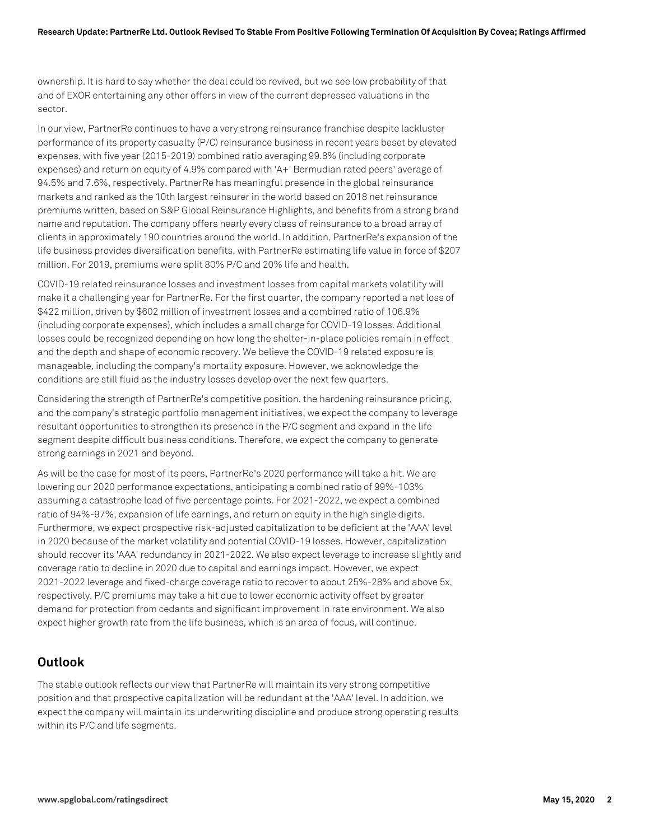ownership. It is hard to say whether the deal could be revived, but we see low probability of that and of EXOR entertaining any other offers in view of the current depressed valuations in the sector.

In our view, PartnerRe continues to have a very strong reinsurance franchise despite lackluster performance of its property casualty (P/C) reinsurance business in recent years beset by elevated expenses, with five year (2015-2019) combined ratio averaging 99.8% (including corporate expenses) and return on equity of 4.9% compared with 'A+' Bermudian rated peers' average of 94.5% and 7.6%, respectively. PartnerRe has meaningful presence in the global reinsurance markets and ranked as the 10th largest reinsurer in the world based on 2018 net reinsurance premiums written, based on S&P Global Reinsurance Highlights, and benefits from a strong brand name and reputation. The company offers nearly every class of reinsurance to a broad array of clients in approximately 190 countries around the world. In addition, PartnerRe's expansion of the life business provides diversification benefits, with PartnerRe estimating life value in force of \$207 million. For 2019, premiums were split 80% P/C and 20% life and health.

COVID-19 related reinsurance losses and investment losses from capital markets volatility will make it a challenging year for PartnerRe. For the first quarter, the company reported a net loss of \$422 million, driven by \$602 million of investment losses and a combined ratio of 106.9% (including corporate expenses), which includes a small charge for COVID-19 losses. Additional losses could be recognized depending on how long the shelter-in-place policies remain in effect and the depth and shape of economic recovery. We believe the COVID-19 related exposure is manageable, including the company's mortality exposure. However, we acknowledge the conditions are still fluid as the industry losses develop over the next few quarters.

Considering the strength of PartnerRe's competitive position, the hardening reinsurance pricing, and the company's strategic portfolio management initiatives, we expect the company to leverage resultant opportunities to strengthen its presence in the P/C segment and expand in the life segment despite difficult business conditions. Therefore, we expect the company to generate strong earnings in 2021 and beyond.

As will be the case for most of its peers, PartnerRe's 2020 performance will take a hit. We are lowering our 2020 performance expectations, anticipating a combined ratio of 99%-103% assuming a catastrophe load of five percentage points. For 2021-2022, we expect a combined ratio of 94%-97%, expansion of life earnings, and return on equity in the high single digits. Furthermore, we expect prospective risk-adjusted capitalization to be deficient at the 'AAA' level in 2020 because of the market volatility and potential COVID-19 losses. However, capitalization should recover its 'AAA' redundancy in 2021-2022. We also expect leverage to increase slightly and coverage ratio to decline in 2020 due to capital and earnings impact. However, we expect 2021-2022 leverage and fixed-charge coverage ratio to recover to about 25%-28% and above 5x, respectively. P/C premiums may take a hit due to lower economic activity offset by greater demand for protection from cedants and significant improvement in rate environment. We also expect higher growth rate from the life business, which is an area of focus, will continue.

### **Outlook**

The stable outlook reflects our view that PartnerRe will maintain its very strong competitive position and that prospective capitalization will be redundant at the 'AAA' level. In addition, we expect the company will maintain its underwriting discipline and produce strong operating results within its P/C and life segments.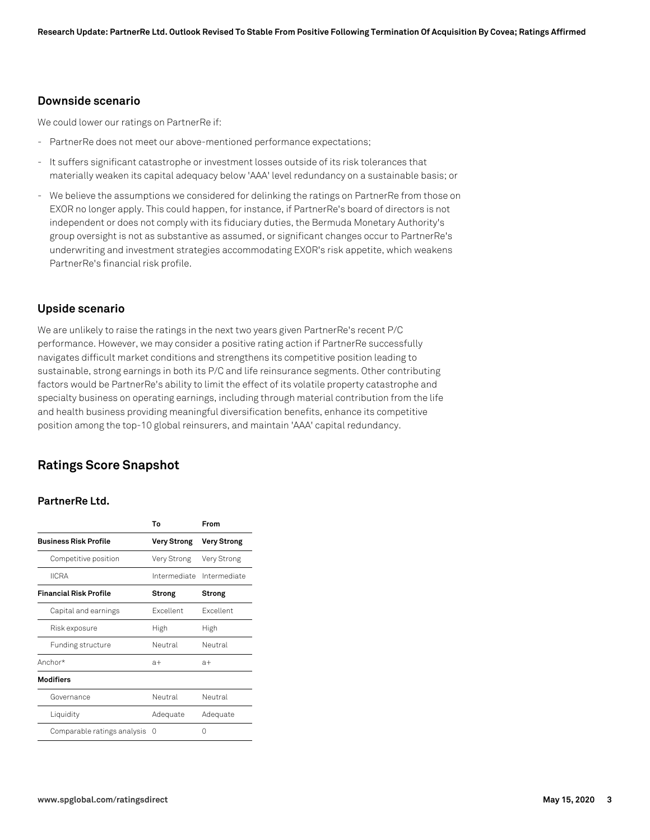#### **Downside scenario**

We could lower our ratings on PartnerRe if:

- PartnerRe does not meet our above-mentioned performance expectations;
- It suffers significant catastrophe or investment losses outside of its risk tolerances that materially weaken its capital adequacy below 'AAA' level redundancy on a sustainable basis; or
- We believe the assumptions we considered for delinking the ratings on PartnerRe from those on EXOR no longer apply. This could happen, for instance, if PartnerRe's board of directors is not independent or does not comply with its fiduciary duties, the Bermuda Monetary Authority's group oversight is not as substantive as assumed, or significant changes occur to PartnerRe's underwriting and investment strategies accommodating EXOR's risk appetite, which weakens PartnerRe's financial risk profile.

#### **Upside scenario**

We are unlikely to raise the ratings in the next two years given PartnerRe's recent P/C performance. However, we may consider a positive rating action if PartnerRe successfully navigates difficult market conditions and strengthens its competitive position leading to sustainable, strong earnings in both its P/C and life reinsurance segments. Other contributing factors would be PartnerRe's ability to limit the effect of its volatile property catastrophe and specialty business on operating earnings, including through material contribution from the life and health business providing meaningful diversification benefits, enhance its competitive position among the top-10 global reinsurers, and maintain 'AAA' capital redundancy.

### **Ratings Score Snapshot**

#### **PartnerRe Ltd.**

|                               | Т٥               | From               |
|-------------------------------|------------------|--------------------|
| <b>Business Risk Profile</b>  | Very Strong      | <b>Very Strong</b> |
| Competitive position          | Very Strong      | Very Strong        |
| <b>IICRA</b>                  | Intermediate     | Intermediate       |
| <b>Financial Risk Profile</b> | Strong           | Strong             |
| Capital and earnings          | <b>Fxcellent</b> | <b>Fxcellent</b>   |
| Risk exposure                 | High             | High               |
| <b>Funding structure</b>      | Neutral          | Neutral            |
| Anchor*                       | $a+$             | $a+$               |
| <b>Modifiers</b>              |                  |                    |
| Governance                    | Neutral          | Neutral            |
| Liquidity                     | Adequate         | Adequate           |
| Comparable ratings analysis   | $\left( \right)$ | Λ                  |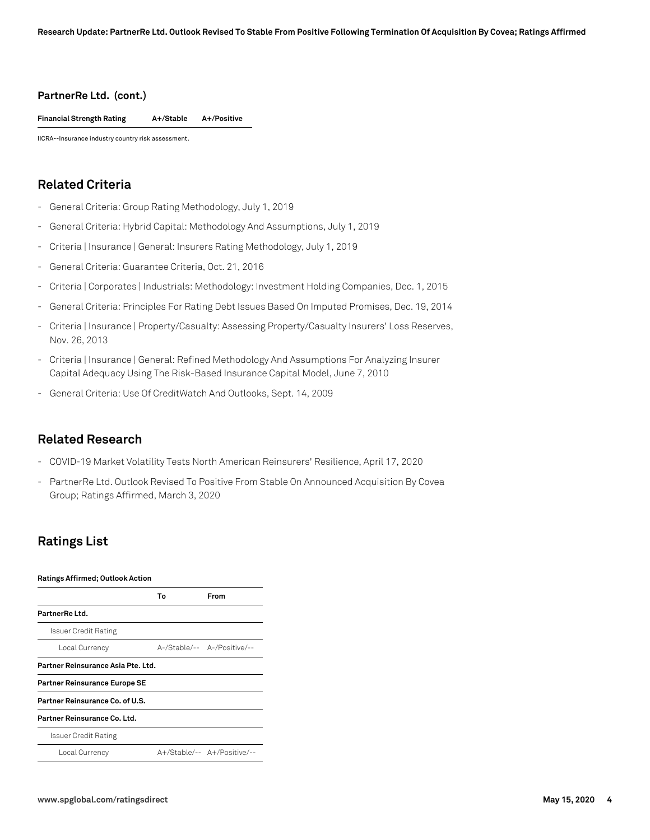#### **PartnerRe Ltd. (cont.)**

**Financial Strength Rating A+/Stable A+/Positive**

IICRA--Insurance industry country risk assessment.

# **Related Criteria**

- General Criteria: Group Rating Methodology, July 1, 2019
- General Criteria: Hybrid Capital: Methodology And Assumptions, July 1, 2019
- Criteria | Insurance | General: Insurers Rating Methodology, July 1, 2019
- General Criteria: Guarantee Criteria, Oct. 21, 2016
- Criteria | Corporates | Industrials: Methodology: Investment Holding Companies, Dec. 1, 2015
- General Criteria: Principles For Rating Debt Issues Based On Imputed Promises, Dec. 19, 2014
- Criteria | Insurance | Property/Casualty: Assessing Property/Casualty Insurers' Loss Reserves, Nov. 26, 2013
- Criteria | Insurance | General: Refined Methodology And Assumptions For Analyzing Insurer Capital Adequacy Using The Risk-Based Insurance Capital Model, June 7, 2010
- General Criteria: Use Of CreditWatch And Outlooks, Sept. 14, 2009

#### **Related Research**

- COVID-19 Market Volatility Tests North American Reinsurers' Resilience, April 17, 2020
- PartnerRe Ltd. Outlook Revised To Positive From Stable On Announced Acquisition By Covea Group; Ratings Affirmed, March 3, 2020

## **Ratings List**

| <b>Ratings Affirmed; Outlook Action</b> |    |                             |  |
|-----------------------------------------|----|-----------------------------|--|
|                                         | Т٥ | From                        |  |
| PartnerRe Ltd.                          |    |                             |  |
| Issuer Credit Rating                    |    |                             |  |
| Local Currency                          |    | A-/Stable/-- A-/Positive/-- |  |
| Partner Reinsurance Asia Pte. Ltd.      |    |                             |  |
| <b>Partner Reinsurance Europe SE</b>    |    |                             |  |
| Partner Reinsurance Co. of U.S.         |    |                             |  |
| Partner Reinsurance Co. Ltd.            |    |                             |  |
| Issuer Credit Rating                    |    |                             |  |
| Local Currency                          |    | A+/Stable/-- A+/Positive/-- |  |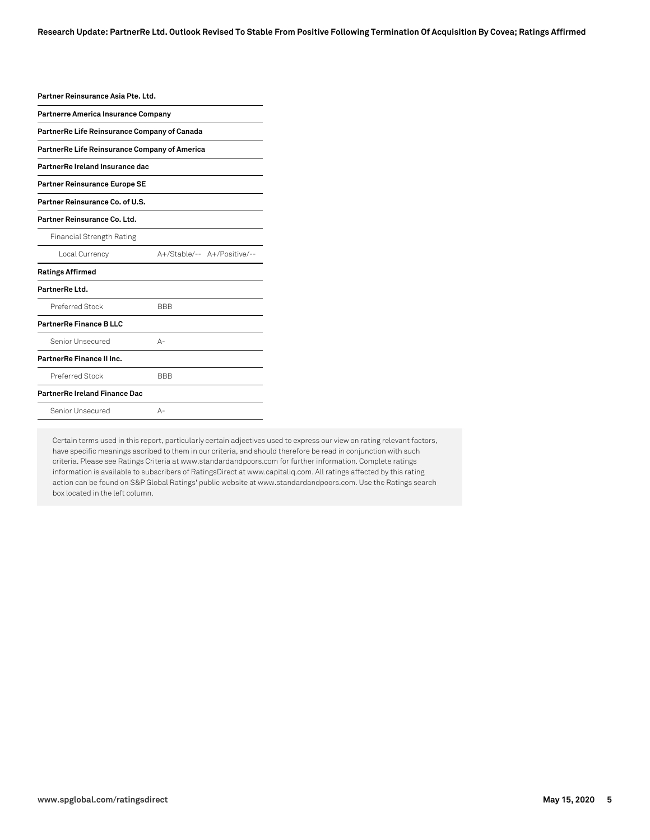| Partner Reinsurance Asia Pte. Ltd.            |                             |  |  |  |
|-----------------------------------------------|-----------------------------|--|--|--|
| <b>Partnerre America Insurance Company</b>    |                             |  |  |  |
| PartnerRe Life Reinsurance Company of Canada  |                             |  |  |  |
| PartnerRe Life Reinsurance Company of America |                             |  |  |  |
| PartnerRe Ireland Insurance dac               |                             |  |  |  |
| Partner Reinsurance Europe SE                 |                             |  |  |  |
| Partner Reinsurance Co. of U.S.               |                             |  |  |  |
| Partner Reinsurance Co. Ltd.                  |                             |  |  |  |
| <b>Financial Strength Rating</b>              |                             |  |  |  |
| Local Currency                                | A+/Stable/-- A+/Positive/-- |  |  |  |
| <b>Ratings Affirmed</b>                       |                             |  |  |  |
| PartnerRe Ltd.                                |                             |  |  |  |
| Preferred Stock                               | <b>BBB</b>                  |  |  |  |
| PartnerRe Finance B LLC                       |                             |  |  |  |
| Senior Unsecured                              | $\Delta -$                  |  |  |  |
| PartnerRe Finance II Inc.                     |                             |  |  |  |
| Preferred Stock                               | <b>BBB</b>                  |  |  |  |
| <b>PartnerRe Ireland Finance Dac</b>          |                             |  |  |  |
| Senior Unsecured                              | А-                          |  |  |  |

Certain terms used in this report, particularly certain adjectives used to express our view on rating relevant factors, have specific meanings ascribed to them in our criteria, and should therefore be read in conjunction with such criteria. Please see Ratings Criteria at www.standardandpoors.com for further information. Complete ratings information is available to subscribers of RatingsDirect at www.capitaliq.com. All ratings affected by this rating action can be found on S&P Global Ratings' public website at www.standardandpoors.com. Use the Ratings search box located in the left column.